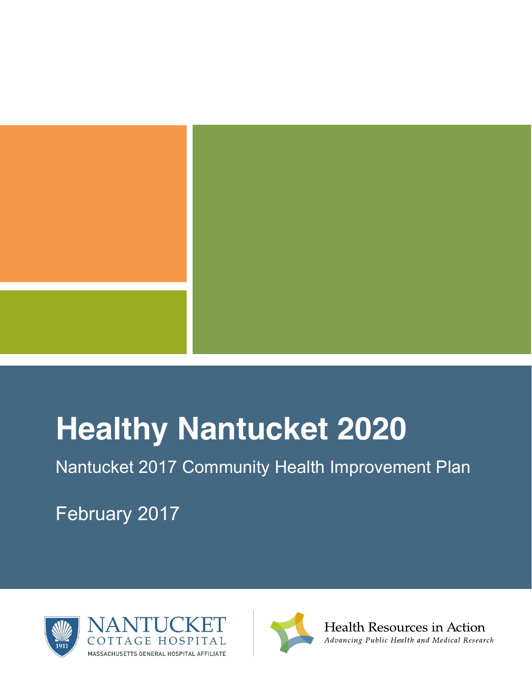

# **Healthy Nantucket 2020**

Nantucket 2017 Community Health Improvement Plan

February 2017



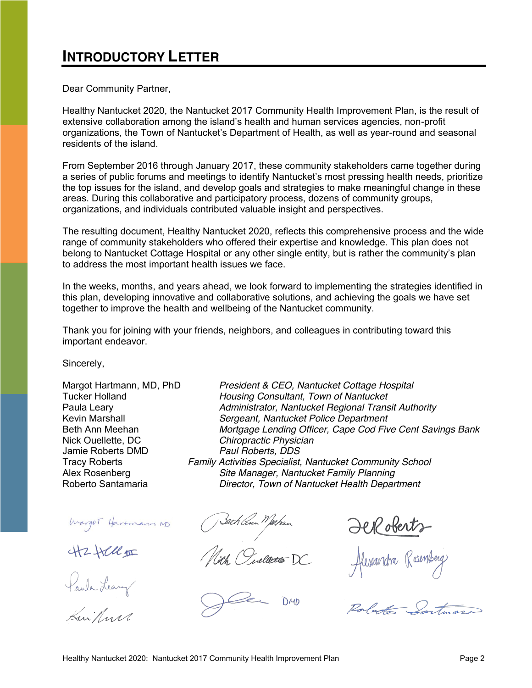# <span id="page-1-0"></span>**INTRODUCTORY LETTER**

Dear Community Partner,

Healthy Nantucket 2020, the Nantucket 2017 Community Health Improvement Plan, is the result of extensive collaboration among the island's health and human services agencies, non-profit organizations, the Town of Nantucket's Department of Health, as well as year-round and seasonal residents of the island.

From September 2016 through January 2017, these community stakeholders came together during a series of public forums and meetings to identify Nantucket's most pressing health needs, prioritize the top issues for the island, and develop goals and strategies to make meaningful change in these areas. During this collaborative and participatory process, dozens of community groups, organizations, and individuals contributed valuable insight and perspectives.

The resulting document, Healthy Nantucket 2020, reflects this comprehensive process and the wide range of community stakeholders who offered their expertise and knowledge. This plan does not belong to Nantucket Cottage Hospital or any other single entity, but is rather the community's plan to address the most important health issues we face.

In the weeks, months, and years ahead, we look forward to implementing the strategies identified in this plan, developing innovative and collaborative solutions, and achieving the goals we have set together to improve the health and wellbeing of the Nantucket community.

Thank you for joining with your friends, neighbors, and colleagues in contributing toward this important endeavor.

Sincerely,

Jamie Roberts DMD *Paul Roberts, DDS*

Warger Hartmann ND

**42424** 

Paula Leavy

Kuikun

Margot Hartmann, MD, PhD *President & CEO, Nantucket Cottage Hospital* Tucker Holland *Housing Consultant, Town of Nantucket* Paula Leary *Administrator, Nantucket Regional Transit Authority* Kevin Marshall *Sergeant, Nantucket Police Department* Beth Ann Meehan *Mortgage Lending Officer, Cape Cod Five Cent Savings Bank* Nick Ouellette, DC *Chiropractic Physician* Tracy Roberts *Family Activities Specialist, Nantucket Community School* Alex Rosenberg *Site Manager, Nantucket Family Planning* Roberto Santamaria *Director, Town of Nantucket Health Department*

Bech Com Mahan<br>Nich Owellette DC

 $DMD$ 

**JeRoberts**<br>Alexandra Rosenberg

Roberto Sartimas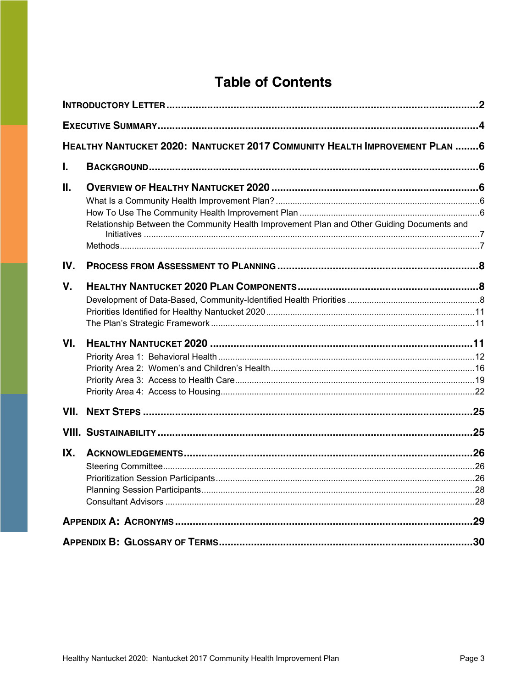# **Table of Contents**

|      | HEALTHY NANTUCKET 2020: NANTUCKET 2017 COMMUNITY HEALTH IMPROVEMENT PLAN 6                 |  |
|------|--------------------------------------------------------------------------------------------|--|
| I.   |                                                                                            |  |
| Ⅱ.   |                                                                                            |  |
|      |                                                                                            |  |
|      |                                                                                            |  |
|      | Relationship Between the Community Health Improvement Plan and Other Guiding Documents and |  |
|      |                                                                                            |  |
| IV.  |                                                                                            |  |
| V.   |                                                                                            |  |
|      |                                                                                            |  |
|      |                                                                                            |  |
|      |                                                                                            |  |
| VI.  |                                                                                            |  |
|      |                                                                                            |  |
|      |                                                                                            |  |
|      |                                                                                            |  |
|      |                                                                                            |  |
| VII. |                                                                                            |  |
|      |                                                                                            |  |
| IX.  |                                                                                            |  |
|      |                                                                                            |  |
|      |                                                                                            |  |
|      |                                                                                            |  |
|      |                                                                                            |  |
|      |                                                                                            |  |
|      |                                                                                            |  |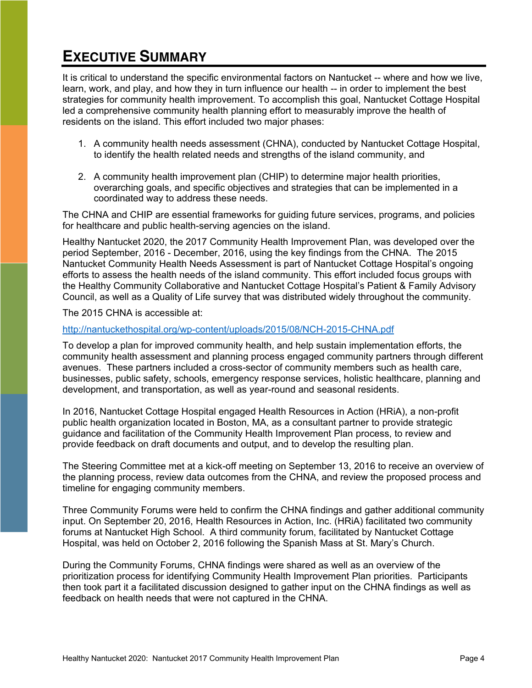# <span id="page-3-0"></span>**EXECUTIVE SUMMARY**

It is critical to understand the specific environmental factors on Nantucket -- where and how we live, learn, work, and play, and how they in turn influence our health -- in order to implement the best strategies for community health improvement. To accomplish this goal, Nantucket Cottage Hospital led a comprehensive community health planning effort to measurably improve the health of residents on the island. This effort included two major phases:

- 1. A community health needs assessment (CHNA), conducted by Nantucket Cottage Hospital, to identify the health related needs and strengths of the island community, and
- 2. A community health improvement plan (CHIP) to determine major health priorities, overarching goals, and specific objectives and strategies that can be implemented in a coordinated way to address these needs.

The CHNA and CHIP are essential frameworks for guiding future services, programs, and policies for healthcare and public health-serving agencies on the island.

Healthy Nantucket 2020, the 2017 Community Health Improvement Plan, was developed over the period September, 2016 - December, 2016, using the key findings from the CHNA. The 2015 Nantucket Community Health Needs Assessment is part of Nantucket Cottage Hospital's ongoing efforts to assess the health needs of the island community. This effort included focus groups with the Healthy Community Collaborative and Nantucket Cottage Hospital's Patient & Family Advisory Council, as well as a Quality of Life survey that was distributed widely throughout the community.

The 2015 CHNA is accessible at:

#### <http://nantuckethospital.org/wp-content/uploads/2015/08/NCH-2015-CHNA.pdf>

To develop a plan for improved community health, and help sustain implementation efforts, the community health assessment and planning process engaged community partners through different avenues. These partners included a cross-sector of community members such as health care, businesses, public safety, schools, emergency response services, holistic healthcare, planning and development, and transportation, as well as year-round and seasonal residents.

In 2016, Nantucket Cottage Hospital engaged Health Resources in Action (HRiA), a non-profit public health organization located in Boston, MA, as a consultant partner to provide strategic guidance and facilitation of the Community Health Improvement Plan process, to review and provide feedback on draft documents and output, and to develop the resulting plan.

The Steering Committee met at a kick-off meeting on September 13, 2016 to receive an overview of the planning process, review data outcomes from the CHNA, and review the proposed process and timeline for engaging community members.

Three Community Forums were held to confirm the CHNA findings and gather additional community input. On September 20, 2016, Health Resources in Action, Inc. (HRiA) facilitated two community forums at Nantucket High School. A third community forum, facilitated by Nantucket Cottage Hospital, was held on October 2, 2016 following the Spanish Mass at St. Mary's Church.

During the Community Forums, CHNA findings were shared as well as an overview of the prioritization process for identifying Community Health Improvement Plan priorities. Participants then took part it a facilitated discussion designed to gather input on the CHNA findings as well as feedback on health needs that were not captured in the CHNA.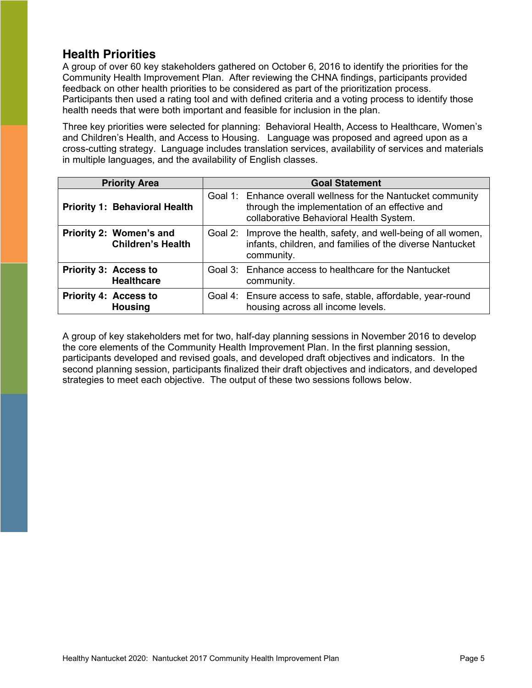# **Health Priorities**

A group of over 60 key stakeholders gathered on October 6, 2016 to identify the priorities for the Community Health Improvement Plan. After reviewing the CHNA findings, participants provided feedback on other health priorities to be considered as part of the prioritization process. Participants then used a rating tool and with defined criteria and a voting process to identify those health needs that were both important and feasible for inclusion in the plan.

Three key priorities were selected for planning: Behavioral Health, Access to Healthcare, Women's and Children's Health, and Access to Housing. Language was proposed and agreed upon as a cross-cutting strategy. Language includes translation services, availability of services and materials in multiple languages, and the availability of English classes.

| <b>Priority Area</b>                                | <b>Goal Statement</b> |                                                                                                                                                           |  |  |
|-----------------------------------------------------|-----------------------|-----------------------------------------------------------------------------------------------------------------------------------------------------------|--|--|
| <b>Priority 1: Behavioral Health</b>                |                       | Goal 1: Enhance overall wellness for the Nantucket community<br>through the implementation of an effective and<br>collaborative Behavioral Health System. |  |  |
| Priority 2: Women's and<br><b>Children's Health</b> | Goal 2:               | Improve the health, safety, and well-being of all women,<br>infants, children, and families of the diverse Nantucket<br>community.                        |  |  |
| <b>Priority 3: Access to</b><br><b>Healthcare</b>   |                       | Goal 3: Enhance access to healthcare for the Nantucket<br>community.                                                                                      |  |  |
| <b>Priority 4: Access to</b><br><b>Housing</b>      |                       | Goal 4: Ensure access to safe, stable, affordable, year-round<br>housing across all income levels.                                                        |  |  |

A group of key stakeholders met for two, half-day planning sessions in November 2016 to develop the core elements of the Community Health Improvement Plan. In the first planning session, participants developed and revised goals, and developed draft objectives and indicators. In the second planning session, participants finalized their draft objectives and indicators, and developed strategies to meet each objective. The output of these two sessions follows below.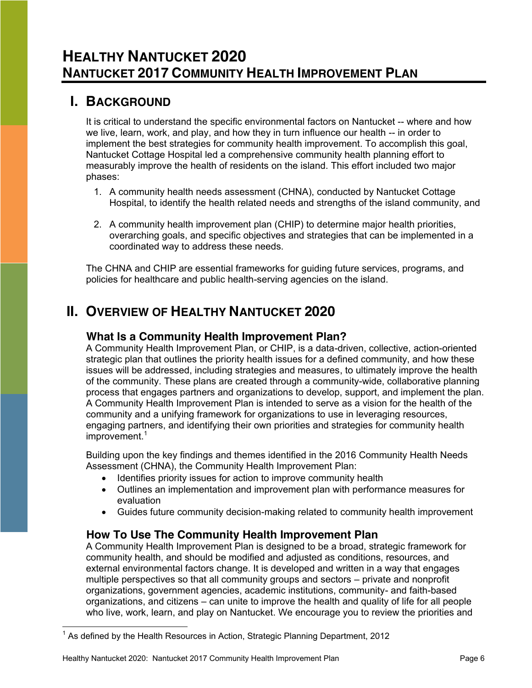# <span id="page-5-1"></span><span id="page-5-0"></span>**I. BACKGROUND**

It is critical to understand the specific environmental factors on Nantucket -- where and how we live, learn, work, and play, and how they in turn influence our health -- in order to implement the best strategies for community health improvement. To accomplish this goal, Nantucket Cottage Hospital led a comprehensive community health planning effort to measurably improve the health of residents on the island. This effort included two major phases:

- 1. A community health needs assessment (CHNA), conducted by Nantucket Cottage Hospital, to identify the health related needs and strengths of the island community, and
- 2. A community health improvement plan (CHIP) to determine major health priorities, overarching goals, and specific objectives and strategies that can be implemented in a coordinated way to address these needs.

The CHNA and CHIP are essential frameworks for guiding future services, programs, and policies for healthcare and public health-serving agencies on the island.

# <span id="page-5-3"></span><span id="page-5-2"></span>**II. OVERVIEW OF HEALTHY NANTUCKET 2020**

## **What Is a Community Health Improvement Plan?**

A Community Health Improvement Plan, or CHIP, is a data-driven, collective, action-oriented strategic plan that outlines the priority health issues for a defined community, and how these issues will be addressed, including strategies and measures, to ultimately improve the health of the community. These plans are created through a community-wide, collaborative planning process that engages partners and organizations to develop, support, and implement the plan. A Community Health Improvement Plan is intended to serve as a vision for the health of the community and a unifying framework for organizations to use in leveraging resources, engaging partners, and identifying their own priorities and strategies for community health improvement.<sup>1</sup>

Building upon the key findings and themes identified in the 2016 Community Health Needs Assessment (CHNA), the Community Health Improvement Plan:

- Identifies priority issues for action to improve community health
- Outlines an implementation and improvement plan with performance measures for evaluation
- Guides future community decision-making related to community health improvement

## <span id="page-5-4"></span>**How To Use The Community Health Improvement Plan**

A Community Health Improvement Plan is designed to be a broad, strategic framework for community health, and should be modified and adjusted as conditions, resources, and external environmental factors change. It is developed and written in a way that engages multiple perspectives so that all community groups and sectors – private and nonprofit organizations, government agencies, academic institutions, community- and faith-based organizations, and citizens – can unite to improve the health and quality of life for all people who live, work, learn, and play on Nantucket. We encourage you to review the priorities and

 $1$  As defined by the Health Resources in Action, Strategic Planning Department, 2012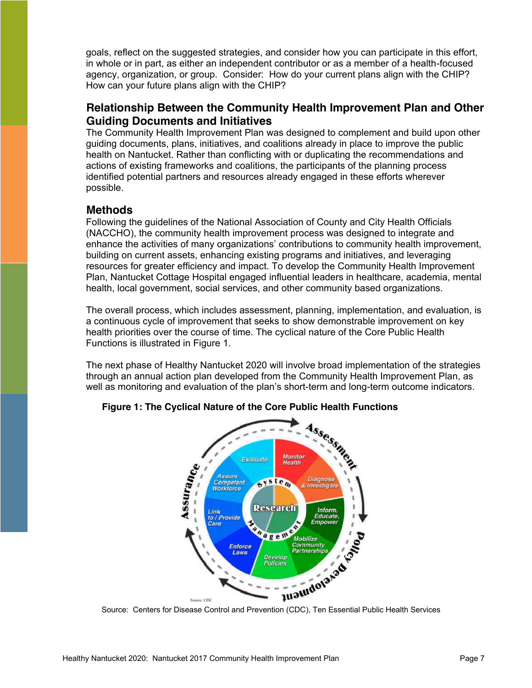goals, reflect on the suggested strategies, and consider how you can participate in this effort, in whole or in part, as either an independent contributor or as a member of a health-focused agency, organization, or group. Consider: How do your current plans align with the CHIP? How can your future plans align with the CHIP?

## <span id="page-6-0"></span>**Relationship Between the Community Health Improvement Plan and Other Guiding Documents and Initiatives**

The Community Health Improvement Plan was designed to complement and build upon other guiding documents, plans, initiatives, and coalitions already in place to improve the public health on Nantucket. Rather than conflicting with or duplicating the recommendations and actions of existing frameworks and coalitions, the participants of the planning process identified potential partners and resources already engaged in these efforts wherever possible.

## <span id="page-6-1"></span>**Methods**

Following the guidelines of the National Association of County and City Health Officials (NACCHO), the community health improvement process was designed to integrate and enhance the activities of many organizations' contributions to community health improvement, building on current assets, enhancing existing programs and initiatives, and leveraging resources for greater efficiency and impact. To develop the Community Health Improvement Plan, Nantucket Cottage Hospital engaged influential leaders in healthcare, academia, mental health, local government, social services, and other community based organizations.

The overall process, which includes assessment, planning, implementation, and evaluation, is a continuous cycle of improvement that seeks to show demonstrable improvement on key health priorities over the course of time. The cyclical nature of the Core Public Health Functions is illustrated in [Figure 1.](#page-6-2)

The next phase of Healthy Nantucket 2020 will involve broad implementation of the strategies through an annual action plan developed from the Community Health Improvement Plan, as well as monitoring and evaluation of the plan's short-term and long-term outcome indicators.



## <span id="page-6-2"></span>**Figure 1: The Cyclical Nature of the Core Public Health Functions**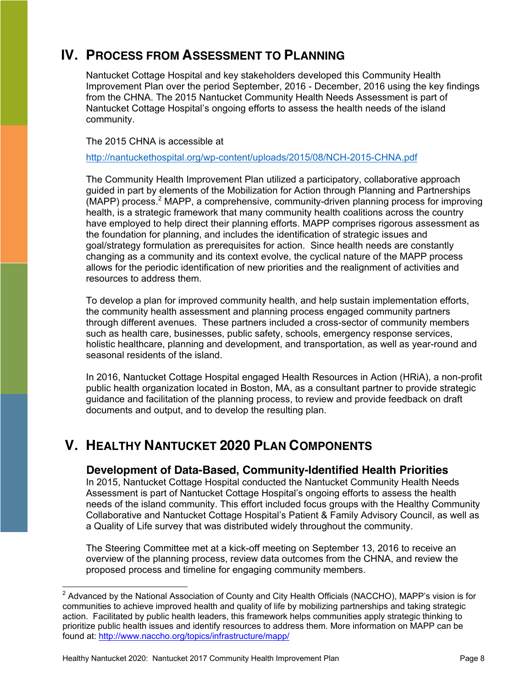# <span id="page-7-0"></span>**IV. PROCESS FROM ASSESSMENT TO PLANNING**

Nantucket Cottage Hospital and key stakeholders developed this Community Health Improvement Plan over the period September, 2016 - December, 2016 using the key findings from the CHNA. The 2015 Nantucket Community Health Needs Assessment is part of Nantucket Cottage Hospital's ongoing efforts to assess the health needs of the island community.

The 2015 CHNA is accessible at

<http://nantuckethospital.org/wp-content/uploads/2015/08/NCH-2015-CHNA.pdf>

The Community Health Improvement Plan utilized a participatory, collaborative approach guided in part by elements of the Mobilization for Action through Planning and Partnerships  $(MAPP)$  process.<sup>2</sup> MAPP, a comprehensive, community-driven planning process for improving health, is a strategic framework that many community health coalitions across the country have employed to help direct their planning efforts. MAPP comprises rigorous assessment as the foundation for planning, and includes the identification of strategic issues and goal/strategy formulation as prerequisites for action. Since health needs are constantly changing as a community and its context evolve, the cyclical nature of the MAPP process allows for the periodic identification of new priorities and the realignment of activities and resources to address them.

To develop a plan for improved community health, and help sustain implementation efforts, the community health assessment and planning process engaged community partners through different avenues. These partners included a cross-sector of community members such as health care, businesses, public safety, schools, emergency response services, holistic healthcare, planning and development, and transportation, as well as year-round and seasonal residents of the island.

In 2016, Nantucket Cottage Hospital engaged Health Resources in Action (HRiA), a non-profit public health organization located in Boston, MA, as a consultant partner to provide strategic guidance and facilitation of the planning process, to review and provide feedback on draft documents and output, and to develop the resulting plan.

# <span id="page-7-2"></span><span id="page-7-1"></span>**V. HEALTHY NANTUCKET 2020 PLAN COMPONENTS**

## **Development of Data-Based, Community-Identified Health Priorities**

In 2015, Nantucket Cottage Hospital conducted the Nantucket Community Health Needs Assessment is part of Nantucket Cottage Hospital's ongoing efforts to assess the health needs of the island community. This effort included focus groups with the Healthy Community Collaborative and Nantucket Cottage Hospital's Patient & Family Advisory Council, as well as a Quality of Life survey that was distributed widely throughout the community.

The Steering Committee met at a kick-off meeting on September 13, 2016 to receive an overview of the planning process, review data outcomes from the CHNA, and review the proposed process and timeline for engaging community members.

 $2$  Advanced by the National Association of County and City Health Officials (NACCHO), MAPP's vision is for communities to achieve improved health and quality of life by mobilizing partnerships and taking strategic action. Facilitated by public health leaders, this framework helps communities apply strategic thinking to prioritize public health issues and identify resources to address them. More information on MAPP can be found at: [http://www.naccho.org/topics/infrastructure/mapp/](http://www.naccho.org/topics/infrastructure/mapp/framework/index.cfm)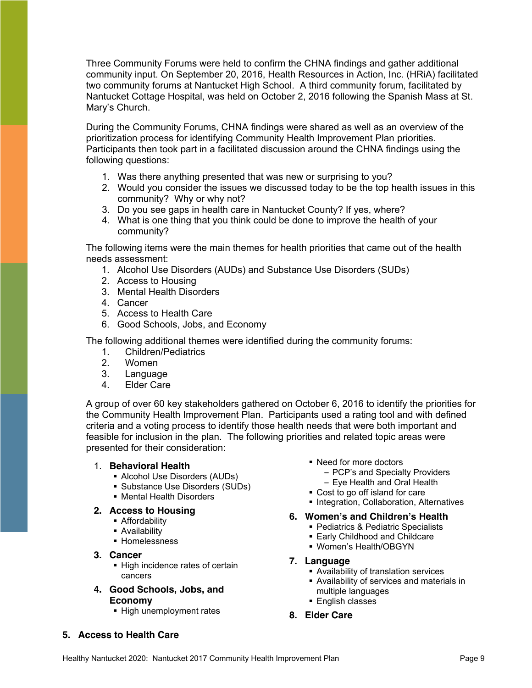Three Community Forums were held to confirm the CHNA findings and gather additional community input. On September 20, 2016, Health Resources in Action, Inc. (HRiA) facilitated two community forums at Nantucket High School. A third community forum, facilitated by Nantucket Cottage Hospital, was held on October 2, 2016 following the Spanish Mass at St. Mary's Church.

During the Community Forums, CHNA findings were shared as well as an overview of the prioritization process for identifying Community Health Improvement Plan priorities. Participants then took part in a facilitated discussion around the CHNA findings using the following questions:

- 1. Was there anything presented that was new or surprising to you?
- 2. Would you consider the issues we discussed today to be the top health issues in this community? Why or why not?
- 3. Do you see gaps in health care in Nantucket County? If yes, where?
- 4. What is one thing that you think could be done to improve the health of your community?

The following items were the main themes for health priorities that came out of the health needs assessment:

- 1. Alcohol Use Disorders (AUDs) and Substance Use Disorders (SUDs)
- 2. Access to Housing
- 3. Mental Health Disorders
- 4. Cancer
- 5. Access to Health Care
- 6. Good Schools, Jobs, and Economy

The following additional themes were identified during the community forums:

- 1. Children/Pediatrics
- 2. Women
- 3. Language
- 4. Elder Care

A group of over 60 key stakeholders gathered on October 6, 2016 to identify the priorities for the Community Health Improvement Plan. Participants used a rating tool and with defined criteria and a voting process to identify those health needs that were both important and feasible for inclusion in the plan. The following priorities and related topic areas were presented for their consideration:

#### 1. **Behavioral Health**

- Alcohol Use Disorders (AUDs)
- Substance Use Disorders (SUDs)
- Mental Health Disorders

#### **2. Access to Housing**

- **-** Affordability
- **Availability**
- **Homelessness**
- **3. Cancer**
	- High incidence rates of certain cancers
- **4. Good Schools, Jobs, and Economy**
	- High unemployment rates
- Need for more doctors
	- PCP's and Specialty Providers
	- Eye Health and Oral Health
- Cost to go off island for care
- **Integration, Collaboration, Alternatives**

#### **6. Women's and Children's Health**

- **Pediatrics & Pediatric Specialists**
- **Early Childhood and Childcare**
- Women's Health/OBGYN
- **7. Language**
	- Availability of translation services
	- Availability of services and materials in multiple languages
	- **English classes**
- **8. Elder Care**

# **5. Access to Health Care**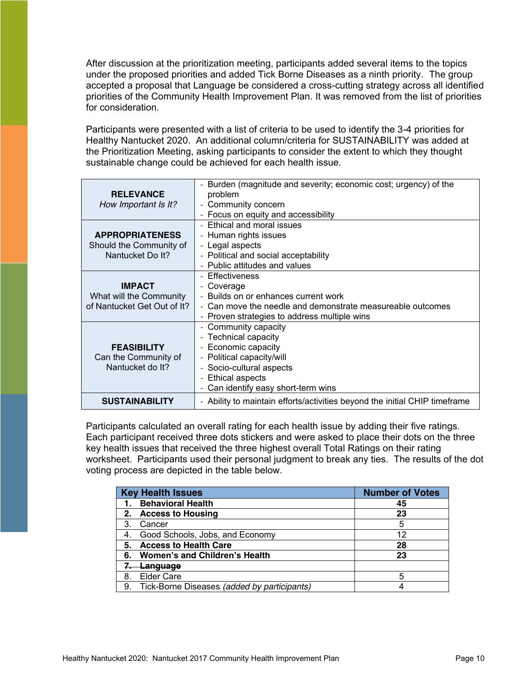After discussion at the prioritization meeting, participants added several items to the topics under the proposed priorities and added Tick Borne Diseases as a ninth priority. The group accepted a proposal that Language be considered a cross-cutting strategy across all identified priorities of the Community Health Improvement Plan. It was removed from the list of priorities for consideration.

Participants were presented with a list of criteria to be used to identify the 3-4 priorities for Healthy Nantucket 2020. An additional column/criteria for SUSTAINABILITY was added at the Prioritization Meeting, asking participants to consider the extent to which they thought sustainable change could be achieved for each health issue.

| <b>RELEVANCE</b><br>How Important Is It?                                | Burden (magnitude and severity; economic cost; urgency) of the<br>problem<br>- Community concern<br>- Focus on equity and accessibility                                                        |
|-------------------------------------------------------------------------|------------------------------------------------------------------------------------------------------------------------------------------------------------------------------------------------|
| <b>APPROPRIATENESS</b><br>Should the Community of<br>Nantucket Do It?   | Ethical and moral issues<br>- Human rights issues<br>- Legal aspects<br>- Political and social acceptability<br>- Public attitudes and values                                                  |
| <b>IMPACT</b><br>What will the Community<br>of Nantucket Get Out of It? | - Effectiveness<br>- Coverage<br>- Builds on or enhances current work<br>- Can move the needle and demonstrate measureable outcomes<br>- Proven strategies to address multiple wins            |
| <b>FEASIBILITY</b><br>Can the Community of<br>Nantucket do It?          | Community capacity<br><b>Technical capacity</b><br>Economic capacity<br>- Political capacity/will<br>- Socio-cultural aspects<br><b>Ethical aspects</b><br>- Can identify easy short-term wins |
| <b>SUSTAINABILITY</b>                                                   | - Ability to maintain efforts/activities beyond the initial CHIP timeframe                                                                                                                     |

Participants calculated an overall rating for each health issue by adding their five ratings. Each participant received three dots stickers and were asked to place their dots on the three key health issues that received the three highest overall Total Ratings on their rating worksheet. Participants used their personal judgment to break any ties. The results of the dot voting process are depicted in the table below.

|    | <b>Key Health Issues</b>                    | <b>Number of Votes</b> |
|----|---------------------------------------------|------------------------|
|    | <b>Behavioral Health</b>                    | 45                     |
|    | <b>Access to Housing</b>                    | 23                     |
| 3  | Cancer                                      | 5                      |
| 4. | Good Schools, Jobs, and Economy             | 12                     |
| 5. | <b>Access to Health Care</b>                | 28                     |
| 6. | <b>Women's and Children's Health</b>        | 23                     |
|    | <del>Language</del>                         |                        |
| 8. | <b>Elder Care</b>                           | 5                      |
| 9. | Tick-Borne Diseases (added by participants) |                        |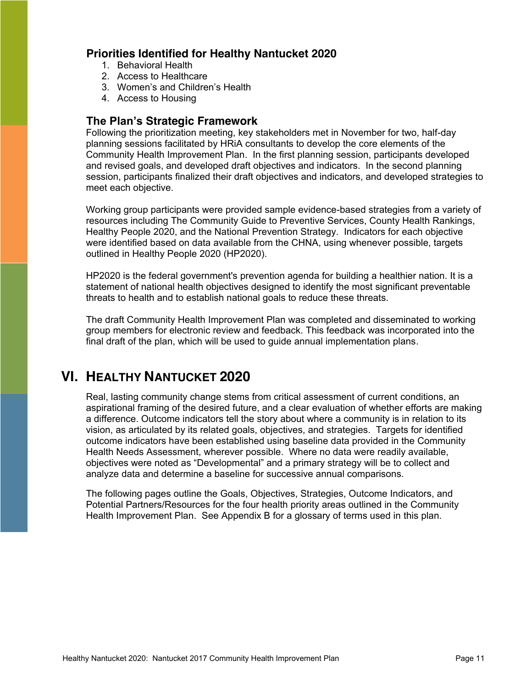# <span id="page-10-0"></span>**Priorities Identified for Healthy Nantucket 2020**

- 1. Behavioral Health
- 2. Access to Healthcare
- 3. Women's and Children's Health
- 4. Access to Housing

# <span id="page-10-1"></span>**The Plan's Strategic Framework**

Following the prioritization meeting, key stakeholders met in November for two, half-day planning sessions facilitated by HRiA consultants to develop the core elements of the Community Health Improvement Plan. In the first planning session, participants developed and revised goals, and developed draft objectives and indicators. In the second planning session, participants finalized their draft objectives and indicators, and developed strategies to meet each objective.

Working group participants were provided sample evidence-based strategies from a variety of resources including The Community Guide to Preventive Services, County Health Rankings, Healthy People 2020, and the National Prevention Strategy. Indicators for each objective were identified based on data available from the CHNA, using whenever possible, targets outlined in Healthy People 2020 (HP2020).

HP2020 is the federal government's prevention agenda for building a healthier nation. It is a statement of national health objectives designed to identify the most significant preventable threats to health and to establish national goals to reduce these threats.

The draft Community Health Improvement Plan was completed and disseminated to working group members for electronic review and feedback. This feedback was incorporated into the final draft of the plan, which will be used to guide annual implementation plans.

# <span id="page-10-2"></span>**VI. HEALTHY NANTUCKET 2020**

Real, lasting community change stems from critical assessment of current conditions, an aspirational framing of the desired future, and a clear evaluation of whether efforts are making a difference. Outcome indicators tell the story about where a community is in relation to its vision, as articulated by its related goals, objectives, and strategies. Targets for identified outcome indicators have been established using baseline data provided in the Community Health Needs Assessment, wherever possible. Where no data were readily available, objectives were noted as "Developmental" and a primary strategy will be to collect and analyze data and determine a baseline for successive annual comparisons.

The following pages outline the Goals, Objectives, Strategies, Outcome Indicators, and Potential Partners/Resources for the four health priority areas outlined in the Community Health Improvement Plan. See Appendix B for a glossary of terms used in this plan.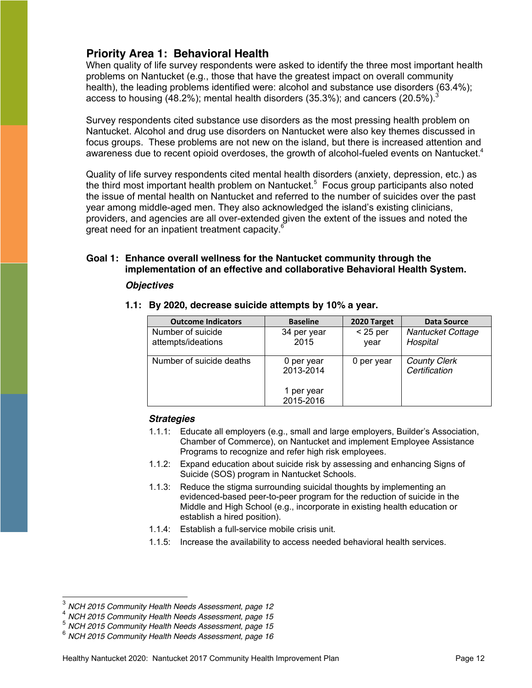# <span id="page-11-0"></span>**Priority Area 1: Behavioral Health**

When quality of life survey respondents were asked to identify the three most important health problems on Nantucket (e.g., those that have the greatest impact on overall community health), the leading problems identified were: alcohol and substance use disorders (63.4%); access to housing (48.2%); mental health disorders (35.3%); and cancers (20.5%).<sup>3</sup>

Survey respondents cited substance use disorders as the most pressing health problem on Nantucket. Alcohol and drug use disorders on Nantucket were also key themes discussed in focus groups. These problems are not new on the island, but there is increased attention and awareness due to recent opioid overdoses, the growth of alcohol-fueled events on Nantucket.<sup>4</sup>

Quality of life survey respondents cited mental health disorders (anxiety, depression, etc.) as the third most important health problem on Nantucket.<sup>5</sup> Focus group participants also noted the issue of mental health on Nantucket and referred to the number of suicides over the past year among middle-aged men. They also acknowledged the island's existing clinicians, providers, and agencies are all over-extended given the extent of the issues and noted the great need for an inpatient treatment capacity. $^6$ 

#### **Goal 1: Enhance overall wellness for the Nantucket community through the implementation of an effective and collaborative Behavioral Health System.**

#### *Objectives*

| By 2020, decrease suicide attempts by 10% a year. |                         |                    |                                      |  |  |
|---------------------------------------------------|-------------------------|--------------------|--------------------------------------|--|--|
| <b>Outcome Indicators</b>                         | <b>Baseline</b>         | 2020 Target        | Data Source                          |  |  |
| Number of suicide<br>attempts/ideations           | 34 per year<br>2015     | $<$ 25 per<br>year | Nantucket Cottage<br>Hospital        |  |  |
| Number of suicide deaths                          | 0 per year<br>2013-2014 | 0 per year         | <b>County Clerk</b><br>Certification |  |  |

1 per year 2015-2016

**1.1: By 2020, decrease suicide attempts by 10% a year.**

- 1.1.1: Educate all employers (e.g., small and large employers, Builder's Association, Chamber of Commerce), on Nantucket and implement Employee Assistance Programs to recognize and refer high risk employees.
- 1.1.2: Expand education about suicide risk by assessing and enhancing Signs of Suicide (SOS) program in Nantucket Schools.
- 1.1.3: Reduce the stigma surrounding suicidal thoughts by implementing an evidenced-based peer-to-peer program for the reduction of suicide in the Middle and High School (e.g., incorporate in existing health education or establish a hired position).
- 1.1.4: Establish a full-service mobile crisis unit.
- 1.1.5: Increase the availability to access needed behavioral health services.

NCH 2015 Community Health Needs Assessment, page 12<br>NCH 2015 Community Health Needs Assessment, page 15<br>NCH 2015 Community Health Needs Assessment, page 15<br>NCH 2015 Community Health Needs Assessment, page 16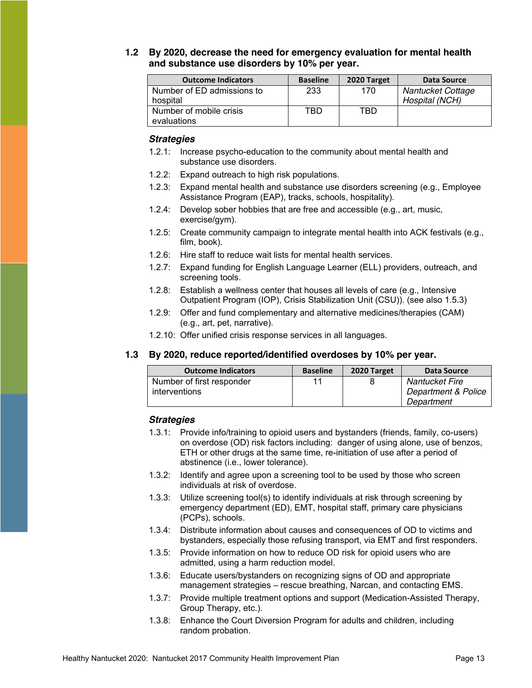#### **1.2 By 2020, decrease the need for emergency evaluation for mental health and substance use disorders by 10% per year.**

| <b>Outcome Indicators</b>  | <b>Baseline</b> | 2020 Target | Data Source       |
|----------------------------|-----------------|-------------|-------------------|
| Number of ED admissions to | 233             | 170         | Nantucket Cottage |
| hospital                   |                 |             | Hospital (NCH)    |
| Number of mobile crisis    | TBD             | TBD         |                   |
| evaluations                |                 |             |                   |

#### *Strategies*

- 1.2.1: Increase psycho-education to the community about mental health and substance use disorders.
- 1.2.2: Expand outreach to high risk populations.
- 1.2.3: Expand mental health and substance use disorders screening (e.g., Employee Assistance Program (EAP), tracks, schools, hospitality).
- 1.2.4: Develop sober hobbies that are free and accessible (e.g., art, music, exercise/gym).
- 1.2.5: Create community campaign to integrate mental health into ACK festivals (e.g., film, book).
- 1.2.6: Hire staff to reduce wait lists for mental health services.
- 1.2.7: Expand funding for English Language Learner (ELL) providers, outreach, and screening tools.
- 1.2.8: Establish a wellness center that houses all levels of care (e.g., Intensive Outpatient Program (IOP), Crisis Stabilization Unit (CSU)). (see also 1.5.3)
- 1.2.9: Offer and fund complementary and alternative medicines/therapies (CAM) (e.g., art, pet, narrative).
- 1.2.10: Offer unified crisis response services in all languages.

#### **1.3 By 2020, reduce reported/identified overdoses by 10% per year.**

| <b>Outcome Indicators</b> | <b>Baseline</b> | 2020 Target | Data Source         |
|---------------------------|-----------------|-------------|---------------------|
| Number of first responder | 11              |             | Nantucket Fire      |
| interventions             |                 |             | Department & Police |
|                           |                 |             | Department          |

- 1.3.1: Provide info/training to opioid users and bystanders (friends, family, co-users) on overdose (OD) risk factors including: danger of using alone, use of benzos, ETH or other drugs at the same time, re-initiation of use after a period of abstinence (i.e., lower tolerance).
- 1.3.2: Identify and agree upon a screening tool to be used by those who screen individuals at risk of overdose.
- 1.3.3: Utilize screening tool(s) to identify individuals at risk through screening by emergency department (ED), EMT, hospital staff, primary care physicians (PCPs), schools.
- 1.3.4: Distribute information about causes and consequences of OD to victims and bystanders, especially those refusing transport, via EMT and first responders.
- 1.3.5: Provide information on how to reduce OD risk for opioid users who are admitted, using a harm reduction model.
- 1.3.6: Educate users/bystanders on recognizing signs of OD and appropriate management strategies – rescue breathing, Narcan, and contacting EMS.
- 1.3.7: Provide multiple treatment options and support (Medication-Assisted Therapy, Group Therapy, etc.).
- 1.3.8: Enhance the Court Diversion Program for adults and children, including random probation.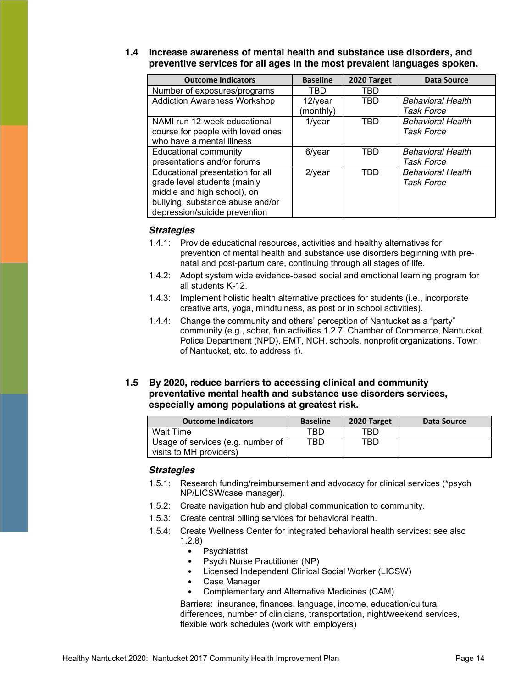| 1.4 Increase awareness of mental health and substance use disorders, and |
|--------------------------------------------------------------------------|
| preventive services for all ages in the most prevalent languages spoken. |

| <b>Outcome Indicators</b>           | <b>Baseline</b> | 2020 Target | <b>Data Source</b>       |
|-------------------------------------|-----------------|-------------|--------------------------|
| Number of exposures/programs        | TBD             | TBD         |                          |
| <b>Addiction Awareness Workshop</b> | $12$ /year      | TBD         | <b>Behavioral Health</b> |
|                                     | (monthly)       |             | Task Force               |
| NAMI run 12-week educational        | $1$ /year       | TBD         | <b>Behavioral Health</b> |
| course for people with loved ones   |                 |             | <b>Task Force</b>        |
| who have a mental illness           |                 |             |                          |
| <b>Educational community</b>        | $6$ /year       | <b>TBD</b>  | <b>Behavioral Health</b> |
| presentations and/or forums         |                 |             | Task Force               |
| Educational presentation for all    | $2$ /year       | <b>TBD</b>  | <b>Behavioral Health</b> |
| grade level students (mainly        |                 |             | <b>Task Force</b>        |
| middle and high school), on         |                 |             |                          |
| bullying, substance abuse and/or    |                 |             |                          |
| depression/suicide prevention       |                 |             |                          |

#### *Strategies*

- 1.4.1: Provide educational resources, activities and healthy alternatives for prevention of mental health and substance use disorders beginning with prenatal and post-partum care, continuing through all stages of life.
- 1.4.2: Adopt system wide evidence-based social and emotional learning program for all students K-12.
- 1.4.3: Implement holistic health alternative practices for students (i.e., incorporate creative arts, yoga, mindfulness, as post or in school activities).
- 1.4.4: Change the community and others' perception of Nantucket as a "party" community (e.g., sober, fun activities 1.2.7, Chamber of Commerce, Nantucket Police Department (NPD), EMT, NCH, schools, nonprofit organizations, Town of Nantucket, etc. to address it).

#### **1.5 By 2020, reduce barriers to accessing clinical and community preventative mental health and substance use disorders services, especially among populations at greatest risk.**

| <b>Outcome Indicators</b>                                    | <b>Baseline</b> | 2020 Target | Data Source |
|--------------------------------------------------------------|-----------------|-------------|-------------|
| <b>Wait Time</b>                                             | TBD             | TBD         |             |
| Usage of services (e.g. number of<br>visits to MH providers) | TBD.            | TBD         |             |

#### *Strategies*

- 1.5.1: Research funding/reimbursement and advocacy for clinical services (\*psych NP/LICSW/case manager).
- 1.5.2: Create navigation hub and global communication to community.
- 1.5.3: Create central billing services for behavioral health.
- 1.5.4: Create Wellness Center for integrated behavioral health services: see also 1.2.8)
	- Psychiatrist
	- Psych Nurse Practitioner (NP)
	- Licensed Independent Clinical Social Worker (LICSW)
	- Case Manager
	- Complementary and Alternative Medicines (CAM)

Barriers: insurance, finances, language, income, education/cultural differences, number of clinicians, transportation, night/weekend services, flexible work schedules (work with employers)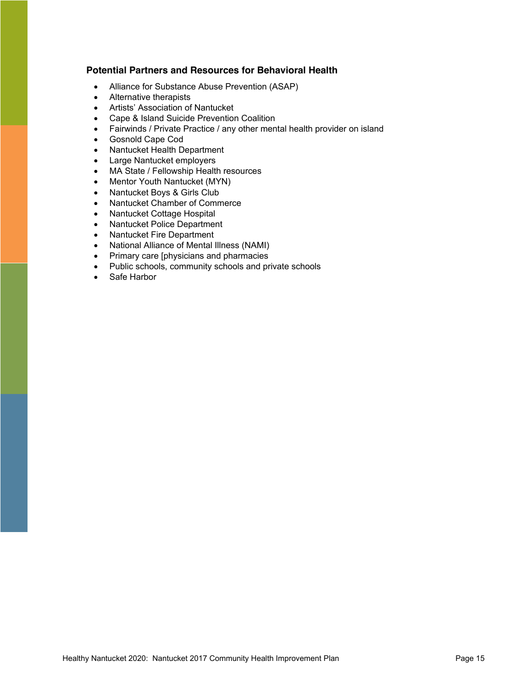#### **Potential Partners and Resources for Behavioral Health**

- Alliance for Substance Abuse Prevention (ASAP)
- Alternative therapists
- Artists' Association of Nantucket
- Cape & Island Suicide Prevention Coalition
- Fairwinds / Private Practice / any other mental health provider on island
- Gosnold Cape Cod
- Nantucket Health Department
- Large Nantucket employers
- MA State / Fellowship Health resources
- Mentor Youth Nantucket (MYN)
- Nantucket Boys & Girls Club
- Nantucket Chamber of Commerce
- Nantucket Cottage Hospital
- Nantucket Police Department
- Nantucket Fire Department
- National Alliance of Mental Illness (NAMI)
- Primary care [physicians and pharmacies
- Public schools, community schools and private schools
- Safe Harbor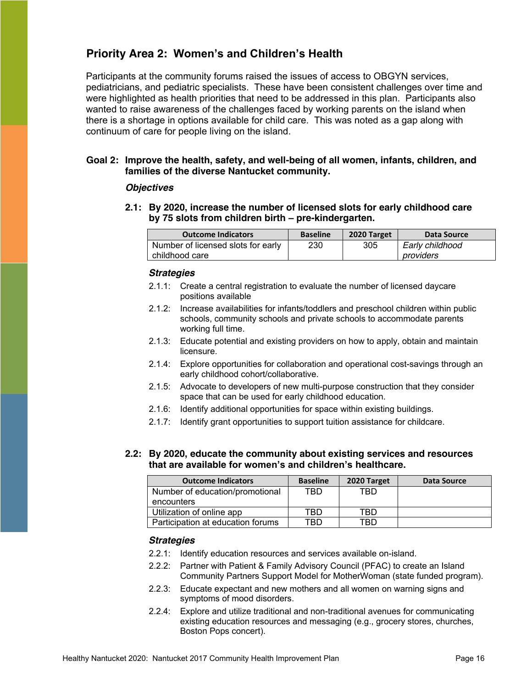# <span id="page-15-0"></span>**Priority Area 2: Women's and Children's Health**

Participants at the community forums raised the issues of access to OBGYN services, pediatricians, and pediatric specialists. These have been consistent challenges over time and were highlighted as health priorities that need to be addressed in this plan. Participants also wanted to raise awareness of the challenges faced by working parents on the island when there is a shortage in options available for child care. This was noted as a gap along with continuum of care for people living on the island.

#### **Goal 2: Improve the health, safety, and well-being of all women, infants, children, and families of the diverse Nantucket community.**

#### *Objectives*

**2.1: By 2020, increase the number of licensed slots for early childhood care by 75 slots from children birth – pre-kindergarten.**

| <b>Outcome Indicators</b>          | <b>Baseline</b> | 2020 Target | Data Source     |
|------------------------------------|-----------------|-------------|-----------------|
| Number of licensed slots for early | 230             | 305         | Early childhood |
| childhood care                     |                 |             | providers       |

#### *Strategies*

- 2.1.1: Create a central registration to evaluate the number of licensed daycare positions available
- 2.1.2: Increase availabilities for infants/toddlers and preschool children within public schools, community schools and private schools to accommodate parents working full time.
- 2.1.3: Educate potential and existing providers on how to apply, obtain and maintain licensure.
- 2.1.4: Explore opportunities for collaboration and operational cost-savings through an early childhood cohort/collaborative.
- 2.1.5: Advocate to developers of new multi-purpose construction that they consider space that can be used for early childhood education.
- 2.1.6: Identify additional opportunities for space within existing buildings.
- 2.1.7: Identify grant opportunities to support tuition assistance for childcare.

#### **2.2: By 2020, educate the community about existing services and resources that are available for women's and children's healthcare.**

| <b>Outcome Indicators</b>         | <b>Baseline</b> | 2020 Target | Data Source |
|-----------------------------------|-----------------|-------------|-------------|
| Number of education/promotional   | TBD             | TBD.        |             |
| encounters                        |                 |             |             |
| Utilization of online app         | TBD             | TBD         |             |
| Participation at education forums | TBD             | TBD         |             |

- 2.2.1: Identify education resources and services available on-island.
- 2.2.2: Partner with Patient & Family Advisory Council (PFAC) to create an Island Community Partners Support Model for MotherWoman (state funded program).
- 2.2.3: Educate expectant and new mothers and all women on warning signs and symptoms of mood disorders.
- 2.2.4: Explore and utilize traditional and non-traditional avenues for communicating existing education resources and messaging (e.g., grocery stores, churches, Boston Pops concert).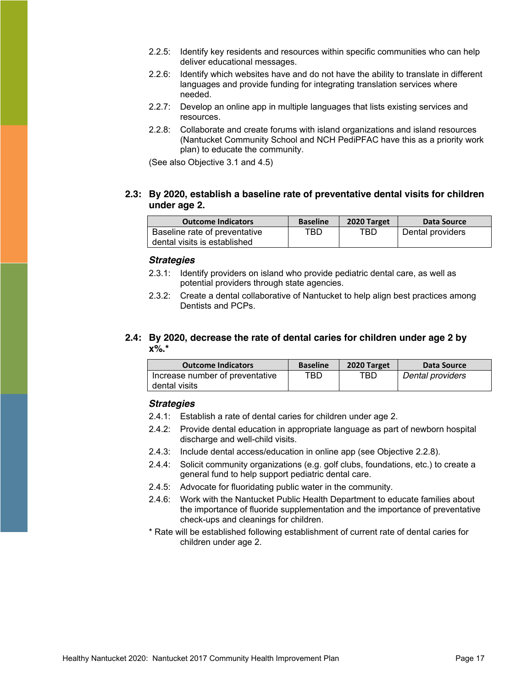- 2.2.5: Identify key residents and resources within specific communities who can help deliver educational messages.
- 2.2.6: Identify which websites have and do not have the ability to translate in different languages and provide funding for integrating translation services where needed.
- 2.2.7: Develop an online app in multiple languages that lists existing services and resources.
- 2.2.8: Collaborate and create forums with island organizations and island resources (Nantucket Community School and NCH PediPFAC have this as a priority work plan) to educate the community.

(See also Objective 3.1 and 4.5)

#### **2.3: By 2020, establish a baseline rate of preventative dental visits for children under age 2.**

| <b>Outcome Indicators</b>     | <b>Baseline</b> | 2020 Target | Data Source      |
|-------------------------------|-----------------|-------------|------------------|
| Baseline rate of preventative | TBD             | TBD.        | Dental providers |
| dental visits is established  |                 |             |                  |

#### *Strategies*

- 2.3.1: Identify providers on island who provide pediatric dental care, as well as potential providers through state agencies.
- 2.3.2: Create a dental collaborative of Nantucket to help align best practices among Dentists and PCPs.

#### **2.4: By 2020, decrease the rate of dental caries for children under age 2 by x%.\***

| <b>Outcome Indicators</b>       | <b>Baseline</b> | 2020 Target | Data Source      |
|---------------------------------|-----------------|-------------|------------------|
| Increase number of preventative | TBD.            | TBD.        | Dental providers |
| dental visits                   |                 |             |                  |

- 2.4.1: Establish a rate of dental caries for children under age 2.
- 2.4.2: Provide dental education in appropriate language as part of newborn hospital discharge and well-child visits.
- 2.4.3: Include dental access/education in online app (see Objective 2.2.8).
- 2.4.4: Solicit community organizations (e.g. golf clubs, foundations, etc.) to create a general fund to help support pediatric dental care.
- 2.4.5: Advocate for fluoridating public water in the community.
- 2.4.6: Work with the Nantucket Public Health Department to educate families about the importance of fluoride supplementation and the importance of preventative check-ups and cleanings for children.
- \* Rate will be established following establishment of current rate of dental caries for children under age 2.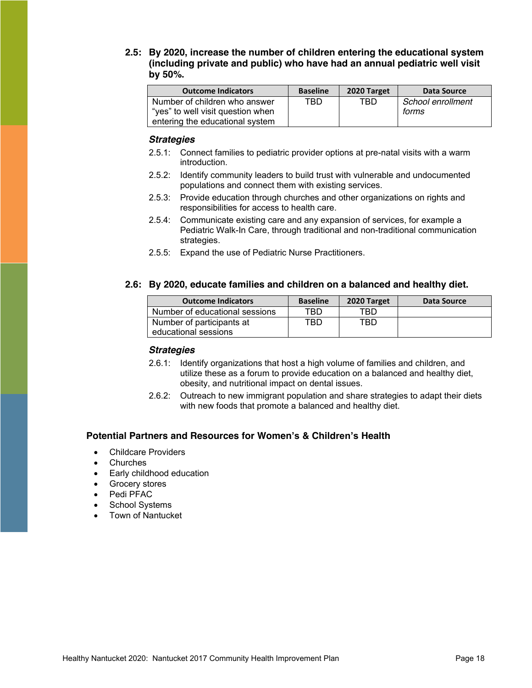#### **2.5: By 2020, increase the number of children entering the educational system (including private and public) who have had an annual pediatric well visit by 50%.**

| <b>Outcome Indicators</b>         | <b>Baseline</b> | 2020 Target | Data Source       |
|-----------------------------------|-----------------|-------------|-------------------|
| Number of children who answer     | TBD             | TBD         | School enrollment |
| "yes" to well visit question when |                 |             | forms             |
| entering the educational system   |                 |             |                   |

#### *Strategies*

- 2.5.1: Connect families to pediatric provider options at pre-natal visits with a warm introduction.
- 2.5.2: Identify community leaders to build trust with vulnerable and undocumented populations and connect them with existing services.
- 2.5.3: Provide education through churches and other organizations on rights and responsibilities for access to health care.
- 2.5.4: Communicate existing care and any expansion of services, for example a Pediatric Walk-In Care, through traditional and non-traditional communication strategies.
- 2.5.5: Expand the use of Pediatric Nurse Practitioners.

#### **2.6: By 2020, educate families and children on a balanced and healthy diet.**

| <b>Outcome Indicators</b>      | <b>Baseline</b> | 2020 Target | Data Source |
|--------------------------------|-----------------|-------------|-------------|
| Number of educational sessions | TBD.            | TBD         |             |
| Number of participants at      | TBD .           | TBD         |             |
| educational sessions           |                 |             |             |

#### *Strategies*

- 2.6.1: Identify organizations that host a high volume of families and children, and utilize these as a forum to provide education on a balanced and healthy diet, obesity, and nutritional impact on dental issues.
- 2.6.2: Outreach to new immigrant population and share strategies to adapt their diets with new foods that promote a balanced and healthy diet.

#### **Potential Partners and Resources for Women's & Children's Health**

- Childcare Providers
- Churches
- Early childhood education
- Grocery stores
- Pedi PFAC
- School Systems
- **Town of Nantucket**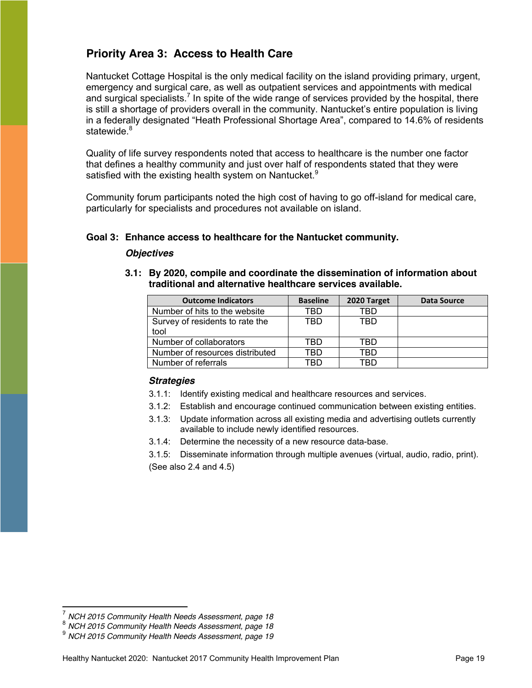# <span id="page-18-0"></span>**Priority Area 3: Access to Health Care**

Nantucket Cottage Hospital is the only medical facility on the island providing primary, urgent, emergency and surgical care, as well as outpatient services and appointments with medical and surgical specialists.<sup>7</sup> In spite of the wide range of services provided by the hospital, there is still a shortage of providers overall in the community. Nantucket's entire population is living in a federally designated "Heath Professional Shortage Area", compared to 14.6% of residents statewide.<sup>8</sup>

Quality of life survey respondents noted that access to healthcare is the number one factor that defines a healthy community and just over half of respondents stated that they were satisfied with the existing health system on Nantucket.<sup>9</sup>

Community forum participants noted the high cost of having to go off-island for medical care, particularly for specialists and procedures not available on island.

#### **Goal 3: Enhance access to healthcare for the Nantucket community.**

#### *Objectives*

- **Outcome Indicators Baseline 2020 Target Data Source** Number of hits to the website TBD TBD Survey of residents to rate the tool TBD TBD Number of collaborators TBD TBD Number of resources distributed | TBD | TBD
- **3.1: By 2020, compile and coordinate the dissemination of information about traditional and alternative healthcare services available.**

#### *Strategies*

- 3.1.1: Identify existing medical and healthcare resources and services.
- 3.1.2: Establish and encourage continued communication between existing entities.
- 3.1.3: Update information across all existing media and advertising outlets currently available to include newly identified resources.
- 3.1.4: Determine the necessity of a new resource data-base.

Number of referrals TBD TBD TBD

3.1.5: Disseminate information through multiple avenues (virtual, audio, radio, print). (See also 2.4 and 4.5)

<sup>7</sup> *NCH 2015 Community Health Needs Assessment, page 18* <sup>8</sup> *NCH 2015 Community Health Needs Assessment, page 18* <sup>9</sup> *NCH 2015 Community Health Needs Assessment, page 19*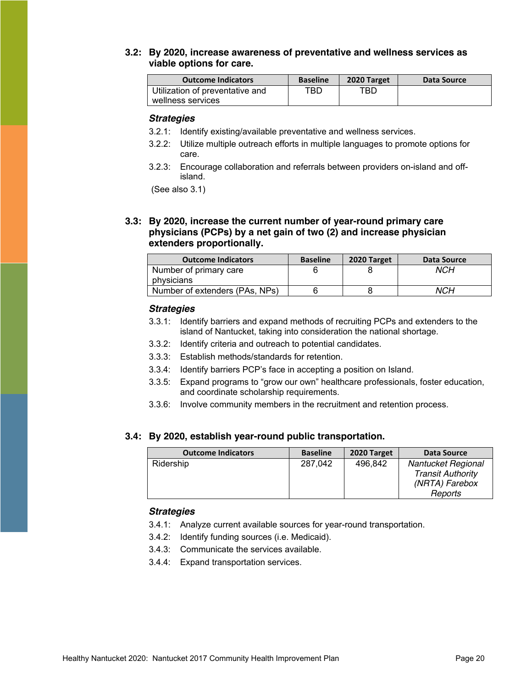#### **3.2: By 2020, increase awareness of preventative and wellness services as viable options for care.**

| <b>Outcome Indicators</b>       | <b>Baseline</b> | 2020 Target | Data Source |
|---------------------------------|-----------------|-------------|-------------|
| Utilization of preventative and | TBD.            | TBD         |             |
| wellness services               |                 |             |             |

#### *Strategies*

- 3.2.1: Identify existing/available preventative and wellness services.
- 3.2.2: Utilize multiple outreach efforts in multiple languages to promote options for care.
- 3.2.3: Encourage collaboration and referrals between providers on-island and offisland.

(See also 3.1)

**3.3: By 2020, increase the current number of year-round primary care physicians (PCPs) by a net gain of two (2) and increase physician extenders proportionally.**

| <b>Outcome Indicators</b>      | <b>Baseline</b> | 2020 Target | Data Source |
|--------------------------------|-----------------|-------------|-------------|
| Number of primary care         |                 |             | NCH         |
| physicians                     |                 |             |             |
| Number of extenders (PAs, NPs) |                 |             | NCH         |

#### *Strategies*

- 3.3.1: Identify barriers and expand methods of recruiting PCPs and extenders to the island of Nantucket, taking into consideration the national shortage.
- 3.3.2: Identify criteria and outreach to potential candidates.
- 3.3.3: Establish methods/standards for retention.
- 3.3.4: Identify barriers PCP's face in accepting a position on Island.
- 3.3.5: Expand programs to "grow our own" healthcare professionals, foster education, and coordinate scholarship requirements.
- 3.3.6: Involve community members in the recruitment and retention process.

#### **3.4: By 2020, establish year-round public transportation.**

| <b>Outcome Indicators</b> | <b>Baseline</b> | 2020 Target | Data Source              |
|---------------------------|-----------------|-------------|--------------------------|
| Ridership                 | 287.042         | 496.842     | Nantucket Regional       |
|                           |                 |             | <b>Transit Authority</b> |
|                           |                 |             | (NRTA) Farebox           |
|                           |                 |             | Reports                  |

- 3.4.1: Analyze current available sources for year-round transportation.
- 3.4.2: Identify funding sources (i.e. Medicaid).
- 3.4.3: Communicate the services available.
- 3.4.4: Expand transportation services.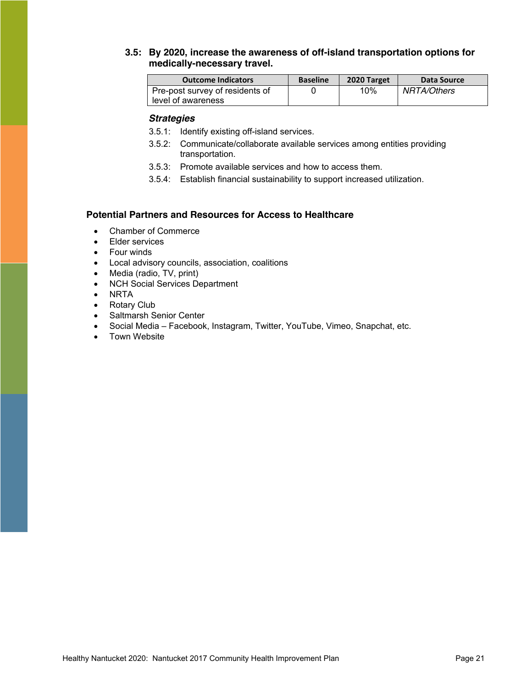#### **3.5: By 2020, increase the awareness of off-island transportation options for medically-necessary travel.**

| <b>Outcome Indicators</b>       | <b>Baseline</b> | 2020 Target | Data Source |
|---------------------------------|-----------------|-------------|-------------|
| Pre-post survey of residents of |                 | 10%         | NRTA/Others |
| level of awareness              |                 |             |             |

#### *Strategies*

- 3.5.1: Identify existing off-island services.
- 3.5.2: Communicate/collaborate available services among entities providing transportation.
- 3.5.3: Promote available services and how to access them.
- 3.5.4: Establish financial sustainability to support increased utilization.

#### **Potential Partners and Resources for Access to Healthcare**

- Chamber of Commerce
- Elder services
- $\bullet$  Four winds
- Local advisory councils, association, coalitions
- Media (radio, TV, print)
- NCH Social Services Department
- $\bullet$  NRTA
- Rotary Club
- Saltmarsh Senior Center
- Social Media Facebook, Instagram, Twitter, YouTube, Vimeo, Snapchat, etc.
- Town Website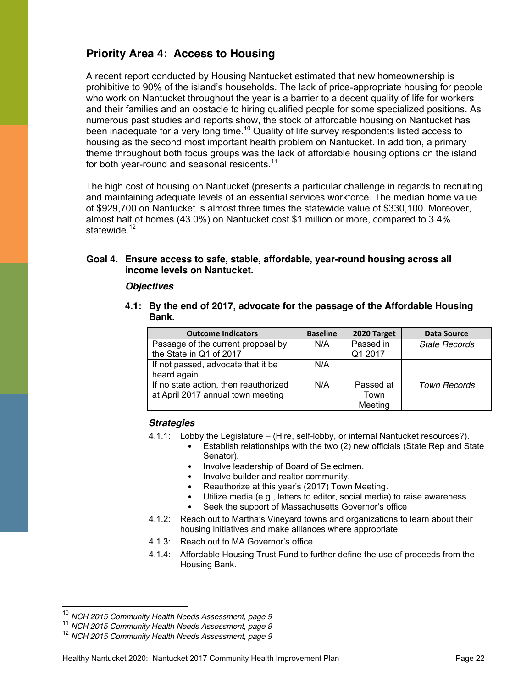# <span id="page-21-0"></span>**Priority Area 4: Access to Housing**

A recent report conducted by Housing Nantucket estimated that new homeownership is prohibitive to 90% of the island's households. The lack of price-appropriate housing for people who work on Nantucket throughout the year is a barrier to a decent quality of life for workers and their families and an obstacle to hiring qualified people for some specialized positions. As numerous past studies and reports show, the stock of affordable housing on Nantucket has been inadequate for a very long time.<sup>10</sup> Quality of life survey respondents listed access to housing as the second most important health problem on Nantucket. In addition, a primary theme throughout both focus groups was the lack of affordable housing options on the island for both year-round and seasonal residents.<sup>11</sup>

The high cost of housing on Nantucket (presents a particular challenge in regards to recruiting and maintaining adequate levels of an essential services workforce. The median home value of \$929,700 on Nantucket is almost three times the statewide value of \$330,100. Moreover, almost half of homes (43.0%) on Nantucket cost \$1 million or more, compared to 3.4% statewide.<sup>12</sup>

#### **Goal 4. Ensure access to safe, stable, affordable, year-round housing across all income levels on Nantucket.**

#### *Objectives*

**4.1: By the end of 2017, advocate for the passage of the Affordable Housing Bank.**

| <b>Outcome Indicators</b>             | <b>Baseline</b> | 2020 Target | <b>Data Source</b>   |
|---------------------------------------|-----------------|-------------|----------------------|
| Passage of the current proposal by    | N/A             | Passed in   | <b>State Records</b> |
| the State in Q1 of 2017               |                 | Q1 2017     |                      |
| If not passed, advocate that it be    | N/A             |             |                      |
| heard again                           |                 |             |                      |
| If no state action, then reauthorized | N/A             | Passed at   | <b>Town Records</b>  |
| at April 2017 annual town meeting     |                 | Town        |                      |
|                                       |                 | Meeting     |                      |

#### *Strategies*

4.1.1: Lobby the Legislature – (Hire, self-lobby, or internal Nantucket resources?).

- Establish relationships with the two (2) new officials (State Rep and State Senator).
- Involve leadership of Board of Selectmen.
- Involve builder and realtor community.
- Reauthorize at this year's (2017) Town Meeting.
- Utilize media (e.g., letters to editor, social media) to raise awareness.
	- Seek the support of Massachusetts Governor's office
- 4.1.2: Reach out to Martha's Vineyard towns and organizations to learn about their housing initiatives and make alliances where appropriate.
- 4.1.3: Reach out to MA Governor's office.
- 4.1.4: Affordable Housing Trust Fund to further define the use of proceeds from the Housing Bank.

<sup>10</sup> *NCH 2015 Community Health Needs Assessment, page 9* <sup>11</sup> *NCH 2015 Community Health Needs Assessment, page 9* <sup>12</sup> *NCH 2015 Community Health Needs Assessment, page 9*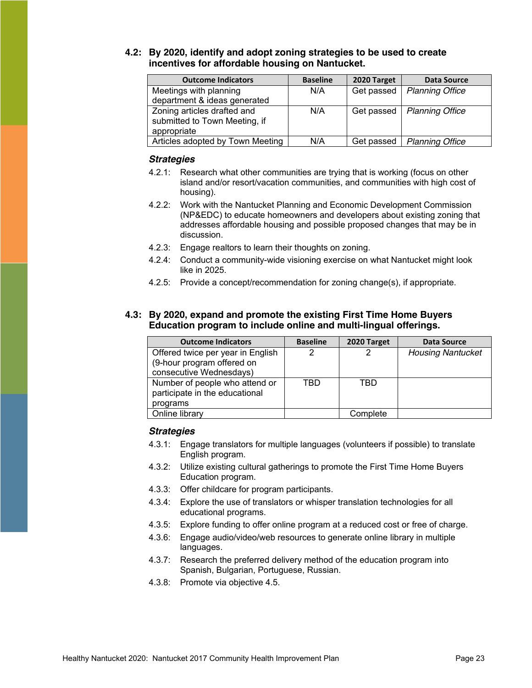#### **4.2: By 2020, identify and adopt zoning strategies to be used to create incentives for affordable housing on Nantucket.**

| <b>Outcome Indicators</b>        | <b>Baseline</b> | 2020 Target | <b>Data Source</b>     |
|----------------------------------|-----------------|-------------|------------------------|
| Meetings with planning           | N/A             | Get passed  | <b>Planning Office</b> |
| department & ideas generated     |                 |             |                        |
| Zoning articles drafted and      | N/A             | Get passed  | <b>Planning Office</b> |
| submitted to Town Meeting, if    |                 |             |                        |
| appropriate                      |                 |             |                        |
| Articles adopted by Town Meeting | N/A             | Get passed  | <b>Planning Office</b> |

#### *Strategies*

- 4.2.1: Research what other communities are trying that is working (focus on other island and/or resort/vacation communities, and communities with high cost of housing).
- 4.2.2: Work with the Nantucket Planning and Economic Development Commission (NP&EDC) to educate homeowners and developers about existing zoning that addresses affordable housing and possible proposed changes that may be in discussion.
- 4.2.3: Engage realtors to learn their thoughts on zoning.
- 4.2.4: Conduct a community-wide visioning exercise on what Nantucket might look like in 2025.
- 4.2.5: Provide a concept/recommendation for zoning change(s), if appropriate.

#### **4.3: By 2020, expand and promote the existing First Time Home Buyers Education program to include online and multi-lingual offerings.**

| <b>Outcome Indicators</b>         | <b>Baseline</b> | 2020 Target | <b>Data Source</b>       |
|-----------------------------------|-----------------|-------------|--------------------------|
| Offered twice per year in English | 2               | 2           | <b>Housing Nantucket</b> |
| (9-hour program offered on        |                 |             |                          |
| consecutive Wednesdays)           |                 |             |                          |
| Number of people who attend or    | TBD             | TBD         |                          |
| participate in the educational    |                 |             |                          |
| programs                          |                 |             |                          |
| Online library                    |                 | Complete    |                          |

- 4.3.1: Engage translators for multiple languages (volunteers if possible) to translate English program.
- 4.3.2: Utilize existing cultural gatherings to promote the First Time Home Buyers Education program.
- 4.3.3: Offer childcare for program participants.
- 4.3.4: Explore the use of translators or whisper translation technologies for all educational programs.
- 4.3.5: Explore funding to offer online program at a reduced cost or free of charge.
- 4.3.6: Engage audio/video/web resources to generate online library in multiple languages.
- 4.3.7: Research the preferred delivery method of the education program into Spanish, Bulgarian, Portuguese, Russian.
- 4.3.8: Promote via objective 4.5.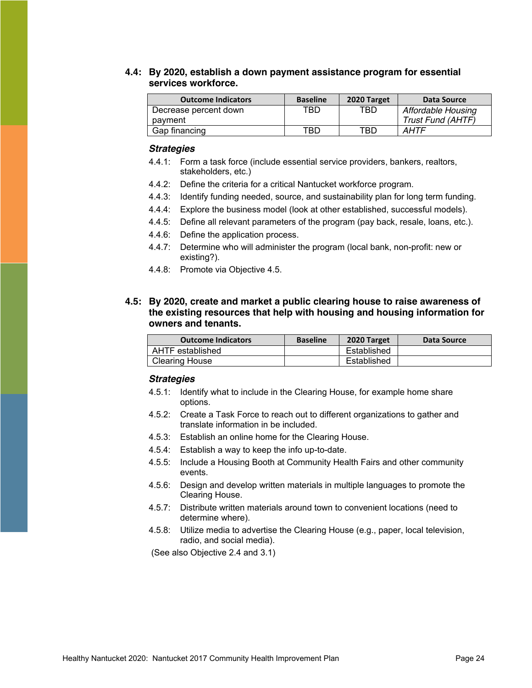#### **4.4: By 2020, establish a down payment assistance program for essential services workforce.**

| <b>Outcome Indicators</b> | <b>Baseline</b> | 2020 Target | Data Source        |
|---------------------------|-----------------|-------------|--------------------|
| Decrease percent down     | TBD.            | TBD         | Affordable Housing |
| payment                   |                 |             | Trust Fund (AHTF)  |
| Gap financing             | TBD.            | TBD.        | <b>AHTF</b>        |

#### *Strategies*

- 4.4.1: Form a task force (include essential service providers, bankers, realtors, stakeholders, etc.)
- 4.4.2: Define the criteria for a critical Nantucket workforce program.
- 4.4.3: Identify funding needed, source, and sustainability plan for long term funding.
- 4.4.4: Explore the business model (look at other established, successful models).
- 4.4.5: Define all relevant parameters of the program (pay back, resale, loans, etc.).
- 4.4.6: Define the application process.
- 4.4.7: Determine who will administer the program (local bank, non-profit: new or existing?).
- 4.4.8: Promote via Objective 4.5.
- **4.5: By 2020, create and market a public clearing house to raise awareness of the existing resources that help with housing and housing information for owners and tenants.**

| <b>Outcome Indicators</b> | <b>Baseline</b> | 2020 Target | Data Source |
|---------------------------|-----------------|-------------|-------------|
| AHTF established          |                 | Established |             |
| <b>Clearing House</b>     |                 | Established |             |

#### *Strategies*

- 4.5.1: Identify what to include in the Clearing House, for example home share options.
- 4.5.2: Create a Task Force to reach out to different organizations to gather and translate information in be included.
- 4.5.3: Establish an online home for the Clearing House.
- 4.5.4: Establish a way to keep the info up-to-date.
- 4.5.5: Include a Housing Booth at Community Health Fairs and other community events.
- 4.5.6: Design and develop written materials in multiple languages to promote the Clearing House.
- 4.5.7: Distribute written materials around town to convenient locations (need to determine where).
- 4.5.8: Utilize media to advertise the Clearing House (e.g., paper, local television, radio, and social media).

(See also Objective 2.4 and 3.1)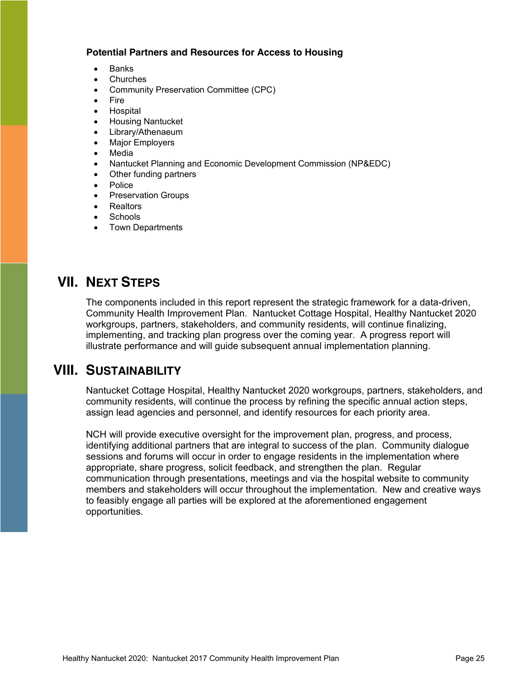#### **Potential Partners and Resources for Access to Housing**

- Banks
- Churches
- Community Preservation Committee (CPC)
- **Fire**
- Hospital
- x Housing Nantucket
- Library/Athenaeum
- Major Employers
- Media
- x Nantucket Planning and Economic Development Commission (NP&EDC)
- Other funding partners
- Police
- Preservation Groups
- Realtors
- Schools
- Town Departments

# <span id="page-24-0"></span>**VII. NEXT STEPS**

The components included in this report represent the strategic framework for a data-driven, Community Health Improvement Plan. Nantucket Cottage Hospital, Healthy Nantucket 2020 workgroups, partners, stakeholders, and community residents, will continue finalizing, implementing, and tracking plan progress over the coming year. A progress report will illustrate performance and will guide subsequent annual implementation planning.

# <span id="page-24-1"></span>**VIII. SUSTAINABILITY**

Nantucket Cottage Hospital, Healthy Nantucket 2020 workgroups, partners, stakeholders, and community residents, will continue the process by refining the specific annual action steps, assign lead agencies and personnel, and identify resources for each priority area.

NCH will provide executive oversight for the improvement plan, progress, and process, identifying additional partners that are integral to success of the plan. Community dialogue sessions and forums will occur in order to engage residents in the implementation where appropriate, share progress, solicit feedback, and strengthen the plan. Regular communication through presentations, meetings and via the hospital website to community members and stakeholders will occur throughout the implementation. New and creative ways to feasibly engage all parties will be explored at the aforementioned engagement opportunities.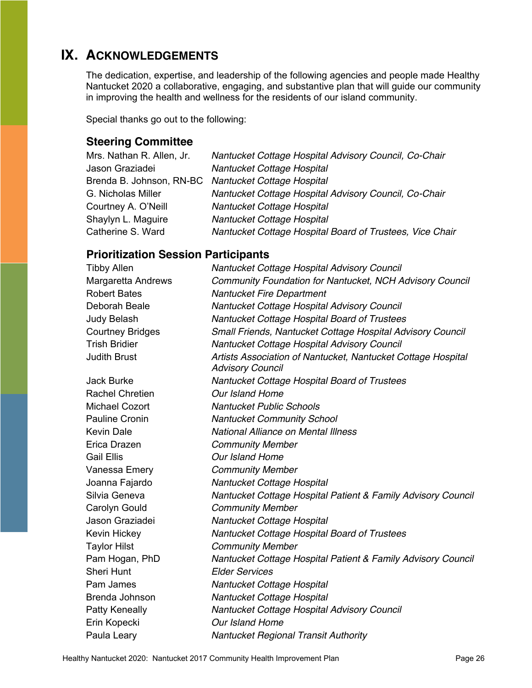# <span id="page-25-0"></span>**IX. ACKNOWLEDGEMENTS**

The dedication, expertise, and leadership of the following agencies and people made Healthy Nantucket 2020 a collaborative, engaging, and substantive plan that will guide our community in improving the health and wellness for the residents of our island community.

<span id="page-25-1"></span>Special thanks go out to the following:

# **Steering Committee**

| Mrs. Nathan R. Allen, Jr. | Nantucket Cottage Hospital Advisory Council, Co-Chair    |
|---------------------------|----------------------------------------------------------|
| Jason Graziadei           | Nantucket Cottage Hospital                               |
|                           | Brenda B. Johnson, RN-BC Nantucket Cottage Hospital      |
| G. Nicholas Miller        | Nantucket Cottage Hospital Advisory Council, Co-Chair    |
| Courtney A. O'Neill       | Nantucket Cottage Hospital                               |
| Shaylyn L. Maguire        | Nantucket Cottage Hospital                               |
| Catherine S. Ward         | Nantucket Cottage Hospital Board of Trustees, Vice Chair |

# <span id="page-25-2"></span>**Prioritization Session Participants**

| <b>Margaretta Andrews</b><br><b>Community Foundation for Nantucket, NCH Advisory Council</b><br><b>Robert Bates</b><br><b>Nantucket Fire Department</b><br>Deborah Beale<br>Nantucket Cottage Hospital Advisory Council<br>Judy Belash<br>Nantucket Cottage Hospital Board of Trustees<br><b>Courtney Bridges</b><br>Small Friends, Nantucket Cottage Hospital Advisory Council |  |
|---------------------------------------------------------------------------------------------------------------------------------------------------------------------------------------------------------------------------------------------------------------------------------------------------------------------------------------------------------------------------------|--|
|                                                                                                                                                                                                                                                                                                                                                                                 |  |
|                                                                                                                                                                                                                                                                                                                                                                                 |  |
|                                                                                                                                                                                                                                                                                                                                                                                 |  |
|                                                                                                                                                                                                                                                                                                                                                                                 |  |
|                                                                                                                                                                                                                                                                                                                                                                                 |  |
| <b>Trish Bridier</b><br>Nantucket Cottage Hospital Advisory Council                                                                                                                                                                                                                                                                                                             |  |
| <b>Judith Brust</b><br>Artists Association of Nantucket, Nantucket Cottage Hospital<br><b>Advisory Council</b>                                                                                                                                                                                                                                                                  |  |
| Nantucket Cottage Hospital Board of Trustees<br><b>Jack Burke</b>                                                                                                                                                                                                                                                                                                               |  |
| <b>Rachel Chretien</b><br>Our Island Home                                                                                                                                                                                                                                                                                                                                       |  |
| <b>Michael Cozort</b><br><b>Nantucket Public Schools</b>                                                                                                                                                                                                                                                                                                                        |  |
| <b>Pauline Cronin</b><br><b>Nantucket Community School</b>                                                                                                                                                                                                                                                                                                                      |  |
| <b>Kevin Dale</b><br>National Alliance on Mental Illness                                                                                                                                                                                                                                                                                                                        |  |
| Erica Drazen<br><b>Community Member</b>                                                                                                                                                                                                                                                                                                                                         |  |
| <b>Gail Ellis</b><br>Our Island Home                                                                                                                                                                                                                                                                                                                                            |  |
| Vanessa Emery<br><b>Community Member</b>                                                                                                                                                                                                                                                                                                                                        |  |
| Joanna Fajardo<br>Nantucket Cottage Hospital                                                                                                                                                                                                                                                                                                                                    |  |
| Silvia Geneva<br>Nantucket Cottage Hospital Patient & Family Advisory Council                                                                                                                                                                                                                                                                                                   |  |
| Carolyn Gould<br><b>Community Member</b>                                                                                                                                                                                                                                                                                                                                        |  |
| Jason Graziadei<br>Nantucket Cottage Hospital                                                                                                                                                                                                                                                                                                                                   |  |
| Nantucket Cottage Hospital Board of Trustees<br>Kevin Hickey                                                                                                                                                                                                                                                                                                                    |  |
| <b>Taylor Hilst</b><br><b>Community Member</b>                                                                                                                                                                                                                                                                                                                                  |  |
| Pam Hogan, PhD<br>Nantucket Cottage Hospital Patient & Family Advisory Council                                                                                                                                                                                                                                                                                                  |  |
| <b>Sheri Hunt</b><br><b>Elder Services</b>                                                                                                                                                                                                                                                                                                                                      |  |
| Pam James<br>Nantucket Cottage Hospital                                                                                                                                                                                                                                                                                                                                         |  |
| Brenda Johnson<br>Nantucket Cottage Hospital                                                                                                                                                                                                                                                                                                                                    |  |
| Patty Keneally<br>Nantucket Cottage Hospital Advisory Council                                                                                                                                                                                                                                                                                                                   |  |
| Our Island Home<br>Erin Kopecki                                                                                                                                                                                                                                                                                                                                                 |  |
| Paula Leary<br><b>Nantucket Regional Transit Authority</b>                                                                                                                                                                                                                                                                                                                      |  |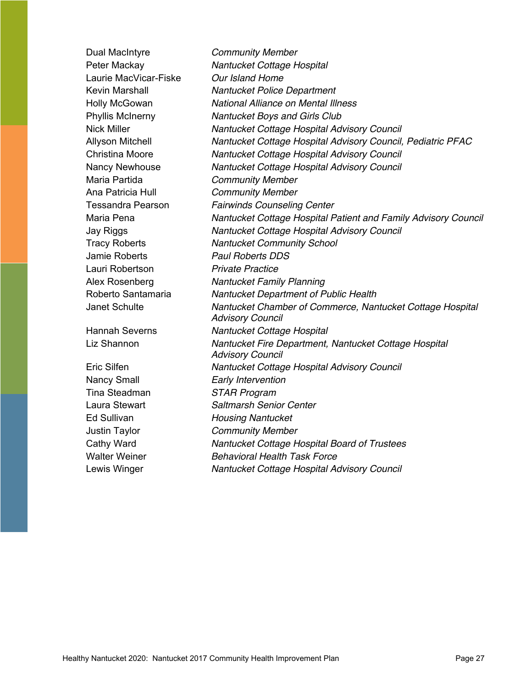Dual MacIntyre *Community Member* Peter Mackay *Nantucket Cottage Hospital*  Laurie MacVicar-Fiske *Our Island Home*  Kevin Marshall *Nantucket Police Department*  Holly McGowan *National Alliance on Mental Illness* Phyllis McInerny *Nantucket Boys and Girls Club* Nick Miller *Nantucket Cottage Hospital Advisory Council* Allyson Mitchell *Nantucket Cottage Hospital Advisory Council, Pediatric PFAC* Christina Moore *Nantucket Cottage Hospital Advisory Council* Nancy Newhouse *Nantucket Cottage Hospital Advisory Council* Maria Partida *Community Member* Ana Patricia Hull *Community Member*  Tessandra Pearson *Fairwinds Counseling Center*  Maria Pena *Nantucket Cottage Hospital Patient and Family Advisory Council* Jay Riggs *Nantucket Cottage Hospital Advisory Council* Tracy Roberts *Nantucket Community School*  Jamie Roberts *Paul Roberts DDS*  Lauri Robertson *Private Practice* Alex Rosenberg *Nantucket Family Planning*  Roberto Santamaria *Nantucket Department of Public Health* Janet Schulte *Nantucket Chamber of Commerce, Nantucket Cottage Hospital Advisory Council* Hannah Severns *Nantucket Cottage Hospital*  Liz Shannon *Nantucket Fire Department, Nantucket Cottage Hospital Advisory Council*  Eric Silfen *Nantucket Cottage Hospital Advisory Council* Nancy Small *Early Intervention* Tina Steadman *STAR Program* Laura Stewart *Saltmarsh Senior Center* Ed Sullivan *Housing Nantucket* Justin Taylor *Community Member* Cathy Ward *Nantucket Cottage Hospital Board of Trustees* Walter Weiner *Behavioral Health Task Force* Lewis Winger *Nantucket Cottage Hospital Advisory Council*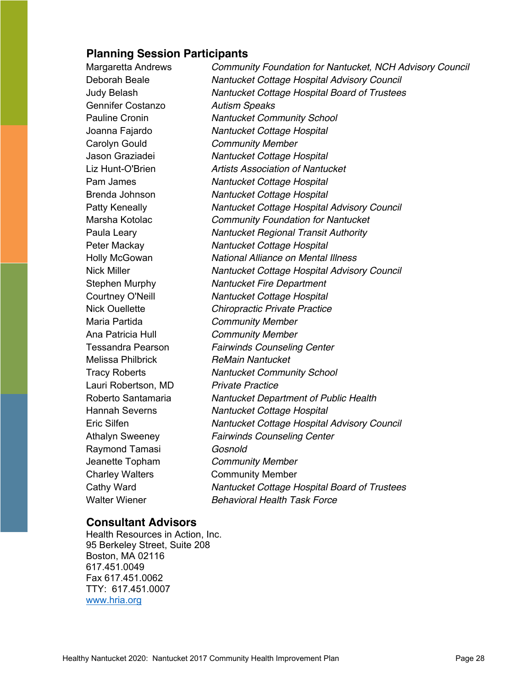## <span id="page-27-0"></span>**Planning Session Participants**

Margaretta Andrews *Community Foundation for Nantucket, NCH Advisory Council* Deborah Beale *Nantucket Cottage Hospital Advisory Council* Judy Belash *Nantucket Cottage Hospital Board of Trustees* Gennifer Costanzo *Autism Speaks* Pauline Cronin *Nantucket Community School* Joanna Fajardo *Nantucket Cottage Hospital* Carolyn Gould *Community Member* Jason Graziadei *Nantucket Cottage Hospital* Liz Hunt-O'Brien *Artists Association of Nantucket* Pam James *Nantucket Cottage Hospital* Brenda Johnson *Nantucket Cottage Hospital* Patty Keneally *Nantucket Cottage Hospital Advisory Council* Marsha Kotolac *Community Foundation for Nantucket* Paula Leary *Nantucket Regional Transit Authority* Peter Mackay *Nantucket Cottage Hospital* Holly McGowan *National Alliance on Mental Illness* Nick Miller *Nantucket Cottage Hospital Advisory Council* Stephen Murphy *Nantucket Fire Department* Courtney O'Neill *Nantucket Cottage Hospital* Nick Ouellette *Chiropractic Private Practice* Maria Partida *Community Member* Ana Patricia Hull *Community Member* Tessandra Pearson *Fairwinds Counseling Center* Melissa Philbrick *ReMain Nantucket* Tracy Roberts *Nantucket Community School* Lauri Robertson, MD *Private Practice* Roberto Santamaria *Nantucket Department of Public Health* Hannah Severns *Nantucket Cottage Hospital* Eric Silfen *Nantucket Cottage Hospital Advisory Council* Athalyn Sweeney *Fairwinds Counseling Center* Raymond Tamasi *Gosnold* Jeanette Topham *Community Member* Charley Walters Community Member Cathy Ward *Nantucket Cottage Hospital Board of Trustees* Walter Wiener *Behavioral Health Task Force*

## <span id="page-27-1"></span>**Consultant Advisors**

Health Resources in Action, Inc. 95 Berkeley Street, Suite 208 Boston, MA 02116 617.451.0049 Fax 617.451.0062 TTY: 617.451.0007 [www.hria.org](http://www.hria.org/)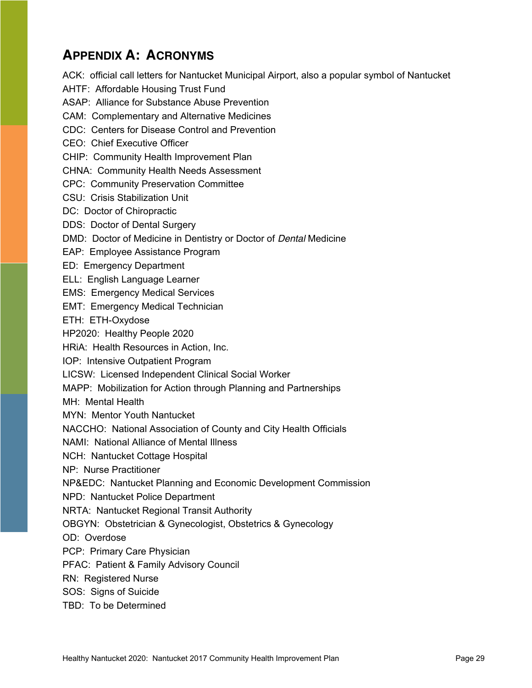# <span id="page-28-0"></span>**APPENDIX A: ACRONYMS**

ACK: official call letters for Nantucket Municipal Airport, also a popular symbol of Nantucket AHTF: Affordable Housing Trust Fund ASAP: Alliance for Substance Abuse Prevention CAM: Complementary and Alternative Medicines CDC: Centers for Disease Control and Prevention CEO: Chief Executive Officer CHIP: Community Health Improvement Plan CHNA: Community Health Needs Assessment CPC: Community Preservation Committee CSU: Crisis Stabilization Unit DC: Doctor of Chiropractic DDS: Doctor of Dental Surgery DMD: Doctor of Medicine in Dentistry or Doctor of *Dental* Medicine EAP: Employee Assistance Program ED: Emergency Department ELL: English Language Learner EMS: Emergency Medical Services EMT: Emergency Medical Technician ETH: ETH-Oxydose HP2020: Healthy People 2020 HRiA: Health Resources in Action, Inc. IOP: Intensive Outpatient Program LICSW: Licensed Independent Clinical Social Worker MAPP: Mobilization for Action through Planning and Partnerships MH: Mental Health MYN: Mentor Youth Nantucket NACCHO: National Association of County and City Health Officials NAMI: National Alliance of Mental Illness NCH: Nantucket Cottage Hospital NP: Nurse Practitioner NP&EDC: Nantucket Planning and Economic Development Commission NPD: Nantucket Police Department NRTA: Nantucket Regional Transit Authority OBGYN: Obstetrician & Gynecologist, Obstetrics & Gynecology OD: Overdose PCP: Primary Care Physician PFAC: Patient & Family Advisory Council RN: Registered Nurse SOS: Signs of Suicide TBD: To be Determined